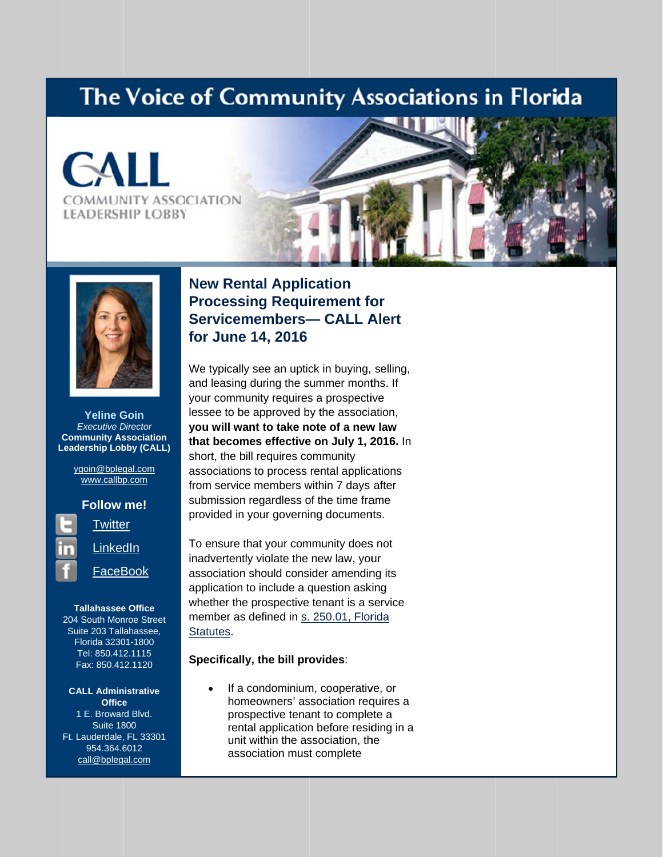## The Voice of Community Associations in Florida







**Yeline Goin Executive Director Community Association Leadership Lobby (CALL)** 

> ygoin@bplegal.com www.callbp.com



**Tallahassee Office** 204 South Monroe Street Suite 203 Tallahassee, Florida 32301-1800 Tel: 850.412.1115 Fax: 850.412.1120

**CALL Administrative Office** 1 E. Broward Blvd. **Suite 1800** Ft. Lauderdale, FL 33301 954.364.6012 call@bplegal.com

### **New Rental Application Processing Requirement for Servicemembers- CALL Alert** for June 14, 2016

We typically see an uptick in buying, selling, and leasing during the summer months. If your community requires a prospective lessee to be approved by the association, you will want to take note of a new law that becomes effective on July 1, 2016. In short, the bill requires community associations to process rental applications from service members within 7 days after submission regardless of the time frame provided in your governing documents.

To ensure that your community does not inadvertently violate the new law, your association should consider amending its application to include a question asking whether the prospective tenant is a service member as defined in s. 250.01, Florida Statutes.

#### Specifically, the bill provides:

If a condominium, cooperative, or homeowners' association requires a prospective tenant to complete a rental application before residing in a unit within the association, the association must complete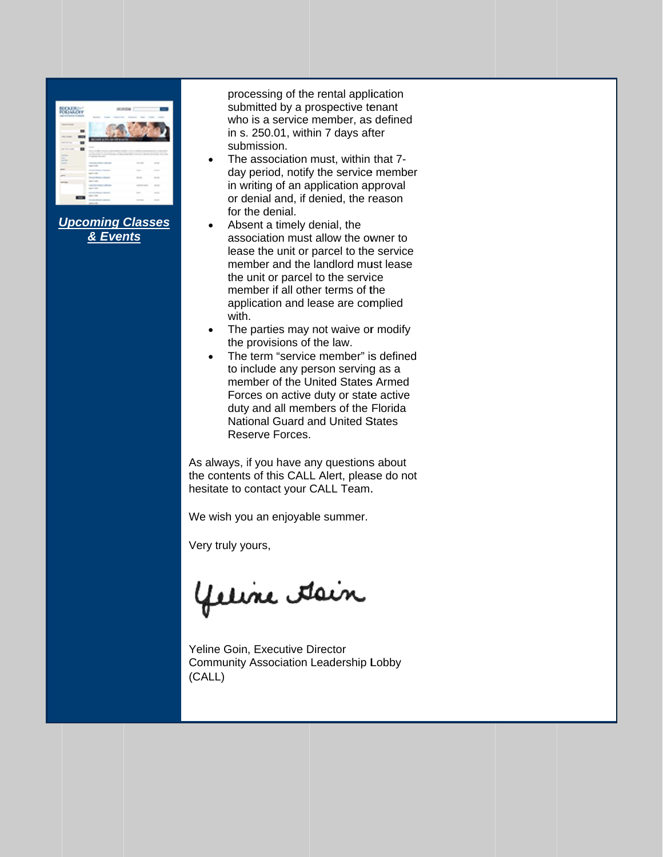|                                      |                                                          | $-0.30$                                                                                                                                                                                                                                 |                                                                                                |
|--------------------------------------|----------------------------------------------------------|-----------------------------------------------------------------------------------------------------------------------------------------------------------------------------------------------------------------------------------------|------------------------------------------------------------------------------------------------|
|                                      |                                                          | ×.                                                                                                                                                                                                                                      |                                                                                                |
| $\sim$                               |                                                          |                                                                                                                                                                                                                                         |                                                                                                |
| <b>William County County</b>         | -                                                        | the state for a state of the market of the charge of a state of the country<br>the color of the color of the color and the color of the color of the color<br>as deposits to an Anti-special state definition in the following stresses | <b>CONTRACTOR</b>                                                                              |
| <b>STATE</b><br>and the<br>All Corp. | Contractor March                                         |                                                                                                                                                                                                                                         |                                                                                                |
| $\sim$                               | the state dealership and the con-<br><b>MARINE AND</b>   | <b>STATISTICS</b>                                                                                                                                                                                                                       | $\frac{1}{2} \left( \frac{1}{2} \right) \left( \frac{1}{2} \right) \left( \frac{1}{2} \right)$ |
|                                      | ---<br><b>COLORED IN</b><br>--<br><b><i>CONTRACT</i></b> | $-$                                                                                                                                                                                                                                     | ÷<br>۰                                                                                         |
|                                      |                                                          |                                                                                                                                                                                                                                         |                                                                                                |
|                                      | $-0.000000$<br>$-$<br>$-100$                             | $\sim$                                                                                                                                                                                                                                  |                                                                                                |
|                                      | ____<br>---                                              |                                                                                                                                                                                                                                         | ٠                                                                                              |
|                                      | and the first party of the second<br>and de-             |                                                                                                                                                                                                                                         | ÷                                                                                              |

**Upcoming Classes** & Events

processing of the rental application submitted by a prospective tenant who is a service member, as defined in s. 250.01, within 7 days after submission.

- The association must, within that 7- $\bullet$ day period, notify the service member in writing of an application approval or denial and, if denied, the reason for the denial.
- Absent a timely denial, the association must allow the owner to lease the unit or parcel to the service member and the landlord must lease the unit or parcel to the service member if all other terms of the application and lease are complied with.
- The parties may not waive or modify  $\bullet$ the provisions of the law.
- The term "service member" is defined to include any person serving as a member of the United States Armed Forces on active duty or state active duty and all members of the Florida **National Guard and United States** Reserve Forces.

As always, if you have any questions about the contents of this CALL Alert, please do not hesitate to contact your CALL Team.

We wish you an enjoyable summer.

Very truly yours,

yeline Asin

Yeline Goin, Executive Director **Community Association Leadership Lobby** (CALL)